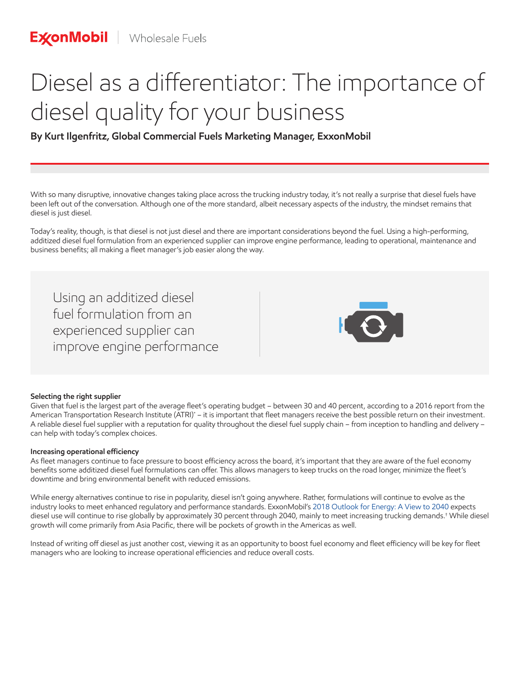# Diesel as a differentiator: The importance of diesel quality for your business

# **By Kurt Ilgenfritz, Global Commercial Fuels Marketing Manager, ExxonMobil**

With so many disruptive, innovative changes taking place across the trucking industry today, it's not really a surprise that diesel fuels have been left out of the conversation. Although one of the more standard, albeit necessary aspects of the industry, the mindset remains that diesel is just diesel.

Today's reality, though, is that diesel is not just diesel and there are important considerations beyond the fuel. Using a high-performing, additized diesel fuel formulation from an experienced supplier can improve engine performance, leading to operational, maintenance and business benefits; all making a fleet manager's job easier along the way.

Using an additized diesel fuel formulation from an experienced supplier can improve engine performance



## **Selecting the right supplier**

Given that fuel is the largest part of the average fleet's operating budget – between 30 and 40 percent, according to a 2016 report from the American Transportation Research Institute (ATRI)\* – it is important that fleet managers receive the best possible return on their investment. A reliable diesel fuel supplier with a reputation for quality throughout the diesel fuel supply chain – from inception to handling and delivery – can help with today's complex choices.

### **Increasing operational efficiency**

As fleet managers continue to face pressure to boost efficiency across the board, it's important that they are aware of the fuel economy benefits some additized diesel fuel formulations can offer. This allows managers to keep trucks on the road longer, minimize the fleet's downtime and bring environmental benefit with reduced emissions.

While energy alternatives continue to rise in popularity, diesel isn't going anywhere. Rather, formulations will continue to evolve as the industry looks to meet enhanced regulatory and performance standards. ExxonMobil's 2018 Outlook for Energy: A View to 2040 expects diesel use will continue to rise globally by approximately 30 percent through 2040, mainly to meet increasing trucking demands.† While diesel growth will come primarily from Asia Pacific, there will be pockets of growth in the Americas as well.

Instead of writing off diesel as just another cost, viewing it as an opportunity to boost fuel economy and fleet efficiency will be key for fleet managers who are looking to increase operational efficiencies and reduce overall costs.